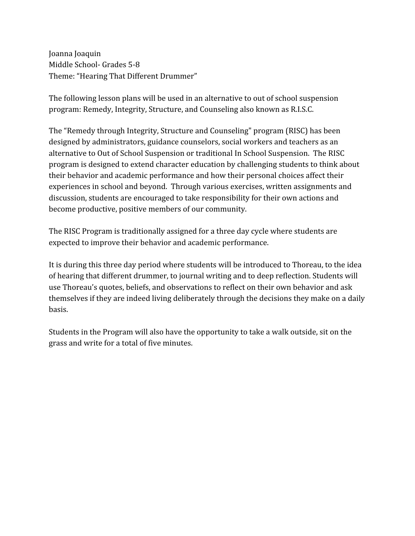Joanna Joaquin Middle School- Grades 5-8 Theme: "Hearing That Different Drummer"

The following lesson plans will be used in an alternative to out of school suspension program: Remedy, Integrity, Structure, and Counseling also known as R.I.S.C.

The "Remedy through Integrity, Structure and Counseling" program (RISC) has been designed by administrators, guidance counselors, social workers and teachers as an alternative to Out of School Suspension or traditional In School Suspension. The RISC program is designed to extend character education by challenging students to think about their behavior and academic performance and how their personal choices affect their experiences in school and beyond. Through various exercises, written assignments and discussion, students are encouraged to take responsibility for their own actions and become productive, positive members of our community.

The RISC Program is traditionally assigned for a three day cycle where students are expected to improve their behavior and academic performance.

It is during this three day period where students will be introduced to Thoreau, to the idea of hearing that different drummer, to journal writing and to deep reflection. Students will use Thoreau's quotes, beliefs, and observations to reflect on their own behavior and ask themselves if they are indeed living deliberately through the decisions they make on a daily basis.

Students in the Program will also have the opportunity to take a walk outside, sit on the grass and write for a total of five minutes.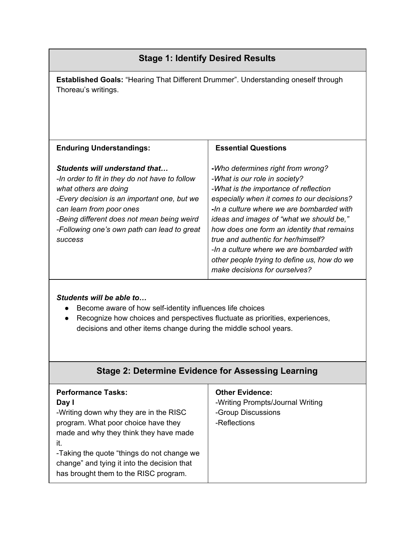| <b>Stage 1: Identify Desired Results</b>                                                                                                                                                                                                                                                           |                                                                                                                                                                                                                                                                                                                                                                                                                                                                      |  |  |  |  |
|----------------------------------------------------------------------------------------------------------------------------------------------------------------------------------------------------------------------------------------------------------------------------------------------------|----------------------------------------------------------------------------------------------------------------------------------------------------------------------------------------------------------------------------------------------------------------------------------------------------------------------------------------------------------------------------------------------------------------------------------------------------------------------|--|--|--|--|
| <b>Established Goals: "Hearing That Different Drummer". Understanding oneself through</b><br>Thoreau's writings.                                                                                                                                                                                   |                                                                                                                                                                                                                                                                                                                                                                                                                                                                      |  |  |  |  |
| <b>Enduring Understandings:</b>                                                                                                                                                                                                                                                                    | <b>Essential Questions</b>                                                                                                                                                                                                                                                                                                                                                                                                                                           |  |  |  |  |
| Students will understand that<br>-In order to fit in they do not have to follow<br>what others are doing<br>-Every decision is an important one, but we<br>can learn from poor ones<br>-Being different does not mean being weird<br>-Following one's own path can lead to great<br><b>SUCCESS</b> | -Who determines right from wrong?<br>-What is our role in society?<br>-What is the importance of reflection<br>especially when it comes to our decisions?<br>-In a culture where we are bombarded with<br>ideas and images of "what we should be,"<br>how does one form an identity that remains<br>true and authentic for her/himself?<br>-In a culture where we are bombarded with<br>other people trying to define us, how do we<br>make decisions for ourselves? |  |  |  |  |

## *Students will be able to…*

- Become aware of how self-identity influences life choices
- Recognize how choices and perspectives fluctuate as priorities, experiences, decisions and other items change during the middle school years.

|  |  | <b>Stage 2: Determine Evidence for Assessing Learning</b> |  |
|--|--|-----------------------------------------------------------|--|
|  |  |                                                           |  |

| <b>Performance Tasks:</b><br>Day I<br>-Writing down why they are in the RISC<br>program. What poor choice have they<br>made and why they think they have made<br>it.<br>-Taking the quote "things do not change we<br>change" and tying it into the decision that | <b>Other Evidence:</b><br>-Writing Prompts/Journal Writing<br>-Group Discussions<br>-Reflections |
|-------------------------------------------------------------------------------------------------------------------------------------------------------------------------------------------------------------------------------------------------------------------|--------------------------------------------------------------------------------------------------|
| has brought them to the RISC program.                                                                                                                                                                                                                             |                                                                                                  |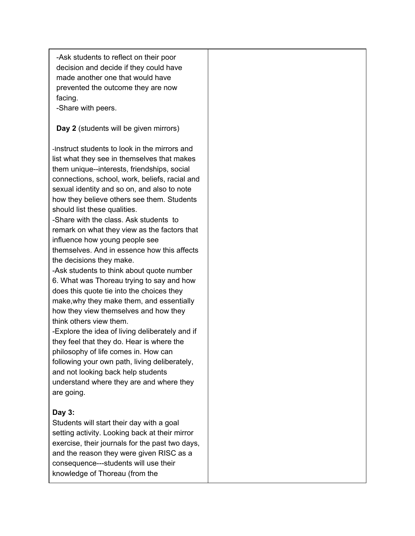-Ask students to reflect on their poor decision and decide if they could have made another one that would have prevented the outcome they are now facing.

-Share with peers.

### **Day 2** (students will be given mirrors)

-Instruct students to look in the mirrors and list what they see in themselves that makes them unique--interests, friendships, social connections, school, work, beliefs, racial and sexual identity and so on, and also to note how they believe others see them. Students should list these qualities.

-Share with the class. Ask students to remark on what they view as the factors that influence how young people see themselves. And in essence how this affects the decisions they make.

-Ask students to think about quote number 6. What was Thoreau trying to say and how does this quote tie into the choices they make,why they make them, and essentially how they view themselves and how they think others view them.

-Explore the idea of living deliberately and if they feel that they do. Hear is where the philosophy of life comes in. How can following your own path, living deliberately, and not looking back help students understand where they are and where they are going.

## **Day 3:**

Students will start their day with a goal setting activity. Looking back at their mirror exercise, their journals for the past two days, and the reason they were given RISC as a consequence---students will use their knowledge of Thoreau (from the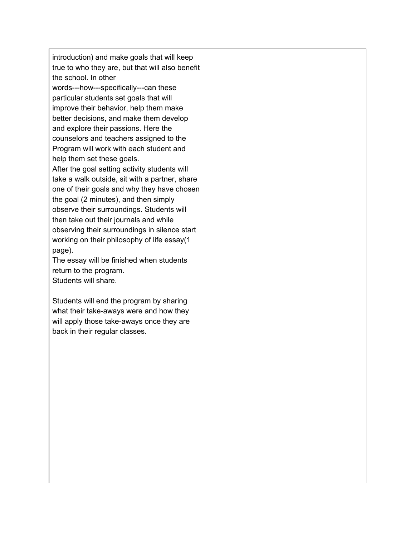introduction) and make goals that will keep true to who they are, but that will also benefit the school. In other

words---how---specifically---can these particular students set goals that will improve their behavior, help them make better decisions, and make them develop and explore their passions. Here the counselors and teachers assigned to the Program will work with each student and help them set these goals.

After the goal setting activity students will take a walk outside, sit with a partner, share one of their goals and why they have chosen the goal (2 minutes), and then simply observe their surroundings. Students will then take out their journals and while observing their surroundings in silence start working on their philosophy of life essay(1 page).

The essay will be finished when students return to the program. Students will share.

Students will end the program by sharing what their take-aways were and how they will apply those take-aways once they are back in their regular classes.